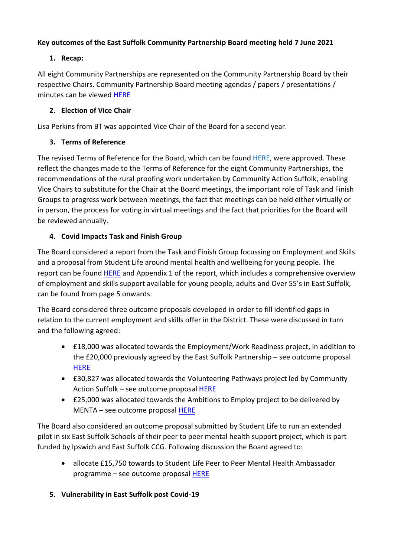# **Key outcomes of the East Suffolk Community Partnership Board meeting held 7 June 2021**

# **1. Recap:**

All eight Community Partnerships are represented on the Community Partnership Board by their respective Chairs. Community Partnership Board meeting agendas / papers / presentations / minutes can be viewed [HERE](https://eastsuffolk.cmis.uk.com/eastsuffolk/Committees/tabid/62/ctl/ViewCMIS_CommitteeDetails/mid/381/id/20/Default.aspx)

#### **2. Election of Vice Chair**

Lisa Perkins from BT was appointed Vice Chair of the Board for a second year.

#### **3. Terms of Reference**

The revised Terms of Reference for the Board, which can be found [HERE,](https://eastsuffolk.cmis.uk.com/EastSuffolk/Document.ashx?czJKcaeAi5tUFL1DTL2UE4zNRBcoShgo=8U0Wpgfiv%2fP51UX7M53PCTW4lu8HytPitH0gzJo%2fuEah%2fzLdBIZ4DA%3d%3d&rUzwRPf%2bZ3zd4E7Ikn8Lyw%3d%3d=pwRE6AGJFLDNlh225F5QMaQWCtPHwdhUfCZ%2fLUQzgA2uL5jNRG4jdQ%3d%3d&mCTIbCubSFfXsDGW9IXnlg%3d%3d=hFflUdN3100%3d&kCx1AnS9%2fpWZQ40DXFvdEw%3d%3d=hFflUdN3100%3d&uJovDxwdjMPoYv%2bAJvYtyA%3d%3d=ctNJFf55vVA%3d&FgPlIEJYlotS%2bYGoBi5olA%3d%3d=NHdURQburHA%3d&d9Qjj0ag1Pd993jsyOJqFvmyB7X0CSQK=ctNJFf55vVA%3d&WGewmoAfeNR9xqBux0r1Q8Za60lavYmz=ctNJFf55vVA%3d&WGewmoAfeNQ16B2MHuCpMRKZMwaG1PaO=ctNJFf55vVA%3d) were approved. These reflect the changes made to the Terms of Reference for the eight Community Partnerships, the recommendations of the rural proofing work undertaken by Community Action Suffolk, enabling Vice Chairs to substitute for the Chair at the Board meetings, the important role of Task and Finish Groups to progress work between meetings, the fact that meetings can be held either virtually or in person, the process for voting in virtual meetings and the fact that priorities for the Board will be reviewed annually.

# **4. Covid Impacts Task and Finish Group**

The Board considered a report from the Task and Finish Group focussing on Employment and Skills and a proposal from Student Life around mental health and wellbeing for young people. The report can be found [HERE](https://eastsuffolk.cmis.uk.com/EastSuffolk/Document.ashx?czJKcaeAi5tUFL1DTL2UE4zNRBcoShgo=dx%2fS%2b44OGiDwPwS1m9W%2bRyfpDETwId65fD222hyU5C4DLMZqw0m%2fgQ%3d%3d&rUzwRPf%2bZ3zd4E7Ikn8Lyw%3d%3d=pwRE6AGJFLDNlh225F5QMaQWCtPHwdhUfCZ%2fLUQzgA2uL5jNRG4jdQ%3d%3d&mCTIbCubSFfXsDGW9IXnlg%3d%3d=hFflUdN3100%3d&kCx1AnS9%2fpWZQ40DXFvdEw%3d%3d=hFflUdN3100%3d&uJovDxwdjMPoYv%2bAJvYtyA%3d%3d=ctNJFf55vVA%3d&FgPlIEJYlotS%2bYGoBi5olA%3d%3d=NHdURQburHA%3d&d9Qjj0ag1Pd993jsyOJqFvmyB7X0CSQK=ctNJFf55vVA%3d&WGewmoAfeNR9xqBux0r1Q8Za60lavYmz=ctNJFf55vVA%3d&WGewmoAfeNQ16B2MHuCpMRKZMwaG1PaO=ctNJFf55vVA%3d) and Appendix 1 of the report, which includes a comprehensive overview of employment and skills support available for young people, adults and Over 55's in East Suffolk, can be found from page 5 onwards.

The Board considered three outcome proposals developed in order to fill identified gaps in relation to the current employment and skills offer in the District. These were discussed in turn and the following agreed:

- £18,000 was allocated towards the Employment/Work Readiness project, in addition to the £20,000 previously agreed by the East Suffolk Partnership – see outcome proposal **[HERE](https://eastsuffolk.cmis.uk.com/EastSuffolk/Document.ashx?czJKcaeAi5tUFL1DTL2UE4zNRBcoShgo=WAMobz5rM5GOGkRr95XPRQ8bCziTxzQLOG2ahY%2bURezLQ%2fw93plG0A%3d%3d&rUzwRPf%2bZ3zd4E7Ikn8Lyw%3d%3d=pwRE6AGJFLDNlh225F5QMaQWCtPHwdhUfCZ%2fLUQzgA2uL5jNRG4jdQ%3d%3d&mCTIbCubSFfXsDGW9IXnlg%3d%3d=hFflUdN3100%3d&kCx1AnS9%2fpWZQ40DXFvdEw%3d%3d=hFflUdN3100%3d&uJovDxwdjMPoYv%2bAJvYtyA%3d%3d=ctNJFf55vVA%3d&FgPlIEJYlotS%2bYGoBi5olA%3d%3d=NHdURQburHA%3d&d9Qjj0ag1Pd993jsyOJqFvmyB7X0CSQK=ctNJFf55vVA%3d&WGewmoAfeNR9xqBux0r1Q8Za60lavYmz=ctNJFf55vVA%3d&WGewmoAfeNQ16B2MHuCpMRKZMwaG1PaO=ctNJFf55vVA%3d)**
- £30,827 was allocated towards the Volunteering Pathways project led by Community Action Suffolk – see outcome proposal [HERE](https://eastsuffolk.cmis.uk.com/EastSuffolk/Document.ashx?czJKcaeAi5tUFL1DTL2UE4zNRBcoShgo=RIaLX5tb321I20YSDxW78CrNPaPbtobPxrooHb5i2EuhdbtoR2Sm3g%3d%3d&rUzwRPf%2bZ3zd4E7Ikn8Lyw%3d%3d=pwRE6AGJFLDNlh225F5QMaQWCtPHwdhUfCZ%2fLUQzgA2uL5jNRG4jdQ%3d%3d&mCTIbCubSFfXsDGW9IXnlg%3d%3d=hFflUdN3100%3d&kCx1AnS9%2fpWZQ40DXFvdEw%3d%3d=hFflUdN3100%3d&uJovDxwdjMPoYv%2bAJvYtyA%3d%3d=ctNJFf55vVA%3d&FgPlIEJYlotS%2bYGoBi5olA%3d%3d=NHdURQburHA%3d&d9Qjj0ag1Pd993jsyOJqFvmyB7X0CSQK=ctNJFf55vVA%3d&WGewmoAfeNR9xqBux0r1Q8Za60lavYmz=ctNJFf55vVA%3d&WGewmoAfeNQ16B2MHuCpMRKZMwaG1PaO=ctNJFf55vVA%3d)
- £25,000 was allocated towards the Ambitions to Employ project to be delivered by MENTA – see outcome proposal [HERE](https://eastsuffolk.cmis.uk.com/EastSuffolk/Document.ashx?czJKcaeAi5tUFL1DTL2UE4zNRBcoShgo=kyjEnsD7zTRYhWAG70PKscpa6gwlEi93kq96pe6dEu%2fbt7MJTsqmag%3d%3d&rUzwRPf%2bZ3zd4E7Ikn8Lyw%3d%3d=pwRE6AGJFLDNlh225F5QMaQWCtPHwdhUfCZ%2fLUQzgA2uL5jNRG4jdQ%3d%3d&mCTIbCubSFfXsDGW9IXnlg%3d%3d=hFflUdN3100%3d&kCx1AnS9%2fpWZQ40DXFvdEw%3d%3d=hFflUdN3100%3d&uJovDxwdjMPoYv%2bAJvYtyA%3d%3d=ctNJFf55vVA%3d&FgPlIEJYlotS%2bYGoBi5olA%3d%3d=NHdURQburHA%3d&d9Qjj0ag1Pd993jsyOJqFvmyB7X0CSQK=ctNJFf55vVA%3d&WGewmoAfeNR9xqBux0r1Q8Za60lavYmz=ctNJFf55vVA%3d&WGewmoAfeNQ16B2MHuCpMRKZMwaG1PaO=ctNJFf55vVA%3d)

The Board also considered an outcome proposal submitted by Student Life to run an extended pilot in six East Suffolk Schools of their peer to peer mental health support project, which is part funded by Ipswich and East Suffolk CCG. Following discussion the Board agreed to:

- allocate £15,750 towards to Student Life Peer to Peer Mental Health Ambassador programme – see outcome proposal [HERE](https://eastsuffolk.cmis.uk.com/EastSuffolk/Document.ashx?czJKcaeAi5tUFL1DTL2UE4zNRBcoShgo=bPwHtwL2qi0Y0rYu2gk0jOWB%2bKQej7yQ0juRKJEw6OdhTqkaixScmA%3d%3d&rUzwRPf%2bZ3zd4E7Ikn8Lyw%3d%3d=pwRE6AGJFLDNlh225F5QMaQWCtPHwdhUfCZ%2fLUQzgA2uL5jNRG4jdQ%3d%3d&mCTIbCubSFfXsDGW9IXnlg%3d%3d=hFflUdN3100%3d&kCx1AnS9%2fpWZQ40DXFvdEw%3d%3d=hFflUdN3100%3d&uJovDxwdjMPoYv%2bAJvYtyA%3d%3d=ctNJFf55vVA%3d&FgPlIEJYlotS%2bYGoBi5olA%3d%3d=NHdURQburHA%3d&d9Qjj0ag1Pd993jsyOJqFvmyB7X0CSQK=ctNJFf55vVA%3d&WGewmoAfeNR9xqBux0r1Q8Za60lavYmz=ctNJFf55vVA%3d&WGewmoAfeNQ16B2MHuCpMRKZMwaG1PaO=ctNJFf55vVA%3d)
- **5. Vulnerability in East Suffolk post Covid‐19**